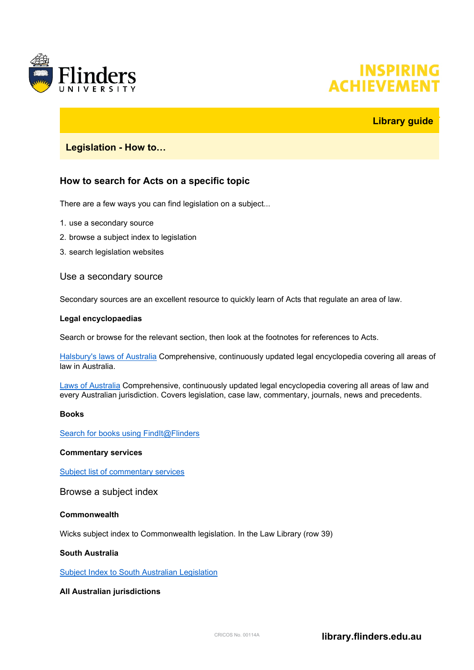

# **INSPIRING ACHIEVEMEI**

# **Library guide**

## **Legislation - How to…**

# **How to search for Acts on a specific topic**

There are a few ways you can find legislation on a subject...

- 1. use a secondary source
- 2. browse a subject index to legislation
- 3. search legislation websites

## Use a secondary source

Secondary sources are an excellent resource to quickly learn of Acts that regulate an area of law.

#### **Legal encyclopaedias**

Search or browse for the relevant section, then look at the footnotes for references to Acts.

[Halsbury's laws of Australia](https://advance.lexis.com/api/search/advanced?source=MTA3MjU4Mw&context=1201008&federationidp=SFHJ6R50981) Comprehensive, continuously updated legal encyclopedia covering all areas of law in Australia.

[Laws of Australia](http://ezproxy.flinders.edu.au/login?url=http://www.westlaw.com.au/maf/app/link/toc?cs=AUNZ_AU_ENAULAW) Comprehensive, continuously updated legal encyclopedia covering all areas of law and every Australian jurisdiction. Covers legislation, case law, commentary, journals, news and precedents.

#### **Books**

[Search for books using FindIt@Flinders](https://flinders-primo.hosted.exlibrisgroup.com/primo-explore/search?vid=FUL&sortby=rank&lang=en_US&mode=simple)

#### **Commentary services**

[Subject list of commentary services](https://flinders.alma.exlibrisgroup.com/leganto/readinglist/citation/240596541070001771?institute=61FUL_INST&auth=LOCAL)

Browse a subject index

#### **Commonwealth**

Wicks subject index to Commonwealth legislation. In the Law Library (row 39)

#### **South Australia**

[Subject Index to South Australian Legislation](http://www.alla.asn.au/sa/sisal/sisal.html)

## **All Australian jurisdictions**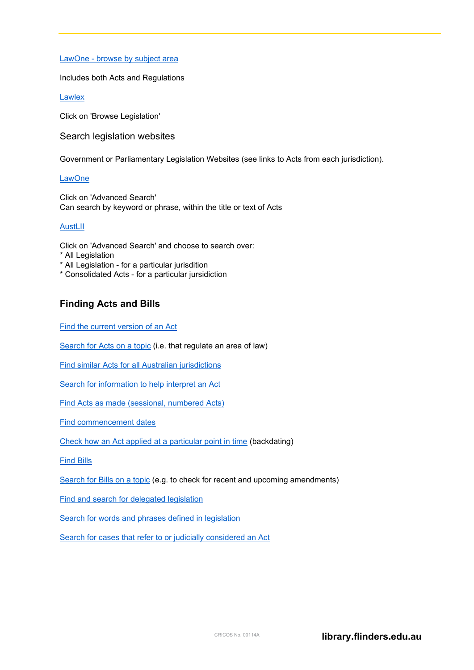LawOne - [browse by subject area](http://ezproxy.flinders.edu.au/login?url=http://lawone.timebase.com.au/Legislation/Subject/cth)

Includes both Acts and Regulations

[Lawlex](http://my.lawlex.com.au/)

Click on 'Browse Legislation'

Search legislation websites

Government or Parliamentary Legislation Websites (see links to Acts from each jurisdiction).

#### **[LawOne](http://ezproxy.flinders.edu.au/login?url=http://lawone.timebase.com.au/Home/Index)**

Click on 'Advanced Search' Can search by keyword or phrase, within the title or text of Acts

#### **[AustLII](http://www.austlii.edu.au/)**

Click on 'Advanced Search' and choose to search over:

- \* All Legislation
- \* All Legislation for a particular jurisdition
- \* Consolidated Acts for a particular jursidiction

# **Finding Acts and Bills**

Find the current [version of an Act](#page-2-0)

[Search for Acts on a topic](#page-2-1) (i.e. that regulate an area of law)

[Find similar Acts for all Australian jurisdictions](#page-2-2)

[Search for information to help interpret an Act](#page-2-3)

[Find Acts as made \(sessional, numbered Acts\)](#page-3-0)

[Find commencement dates](#page-3-1)

[Check how an Act applied at a particular point in time](#page-4-0) (backdating)

[Find Bills](#page-4-1)

[Search for Bills on a topic](#page-4-2) (e.g. to check for recent and upcoming amendments)

[Find and search for delegated legislation](#page-4-3)

[Search for words and phrases defined in legislation](#page-5-0)

[Search for cases that refer to or judicially considered an Act](#page-5-1)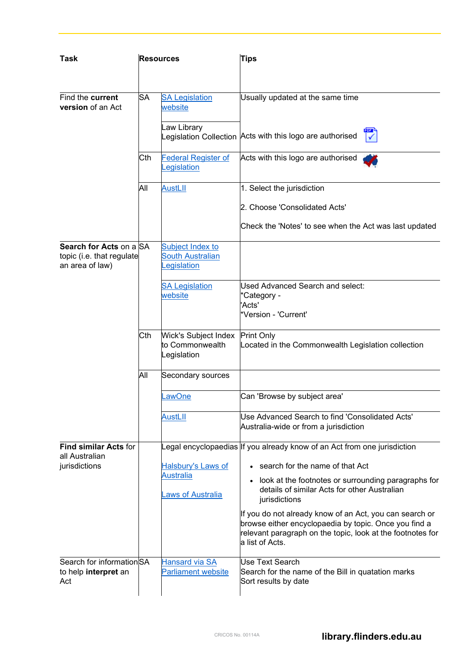<span id="page-2-3"></span><span id="page-2-2"></span><span id="page-2-1"></span><span id="page-2-0"></span>

| Task                                                                    | <b>Resources</b> |                                                                    | <b>Tips</b>                                                                                                                                                                                                                                                                                                                                                                                                                                 |
|-------------------------------------------------------------------------|------------------|--------------------------------------------------------------------|---------------------------------------------------------------------------------------------------------------------------------------------------------------------------------------------------------------------------------------------------------------------------------------------------------------------------------------------------------------------------------------------------------------------------------------------|
| Find the current<br><b>version</b> of an Act                            | <b>SA</b>        | <b>SA Legislation</b><br>website<br>Law Library                    | Usually updated at the same time<br>Legislation Collection $\bm{\mathsf{Acts}}$ with this logo are authorised                                                                                                                                                                                                                                                                                                                               |
|                                                                         | Cth              | <b>Federal Register of</b><br>egislation                           | Acts with this logo are authorised                                                                                                                                                                                                                                                                                                                                                                                                          |
|                                                                         | All              | <b>AustLII</b>                                                     | 1. Select the jurisdiction<br>2. Choose 'Consolidated Acts'<br>Check the 'Notes' to see when the Act was last updated                                                                                                                                                                                                                                                                                                                       |
| Search for Acts on a SA<br>topic (i.e. that regulate<br>an area of law) |                  | Subject Index to<br><b>South Australian</b><br><u>egislation</u>   |                                                                                                                                                                                                                                                                                                                                                                                                                                             |
|                                                                         |                  | <b>SA Legislation</b><br>website                                   | Used Advanced Search and select:<br>*Category -<br>'Acts'<br>*Version - 'Current'                                                                                                                                                                                                                                                                                                                                                           |
|                                                                         | lCth.            | <b>Wick's Subject Index</b><br>to Commonwealth<br>Legislation      | <b>Print Only</b><br>Located in the Commonwealth Legislation collection                                                                                                                                                                                                                                                                                                                                                                     |
|                                                                         | All              | Secondary sources                                                  |                                                                                                                                                                                                                                                                                                                                                                                                                                             |
|                                                                         |                  | .awOne                                                             | Can 'Browse by subject area'                                                                                                                                                                                                                                                                                                                                                                                                                |
|                                                                         |                  | <b>AustLII</b>                                                     | Use Advanced Search to find 'Consolidated Acts'<br>Australia-wide or from a jurisdiction                                                                                                                                                                                                                                                                                                                                                    |
| <b>Find similar Acts for</b><br>all Australian<br>jurisdictions         |                  | Halsbury's Laws of<br><b>Australia</b><br><b>Laws of Australia</b> | Legal encyclopaedias  If you already know of an Act from one jurisdiction<br>• search for the name of that Act<br>look at the footnotes or surrounding paragraphs for<br>details of similar Acts for other Australian<br>jurisdictions<br>If you do not already know of an Act, you can search or<br>browse either encyclopaedia by topic. Once you find a<br>relevant paragraph on the topic, look at the footnotes for<br>a list of Acts. |
| Search for informationSA<br>to help interpret an<br>Act                 |                  | <b>Hansard via SA</b><br>Parliament website                        | Use Text Search<br>Search for the name of the Bill in quatation marks<br>Sort results by date                                                                                                                                                                                                                                                                                                                                               |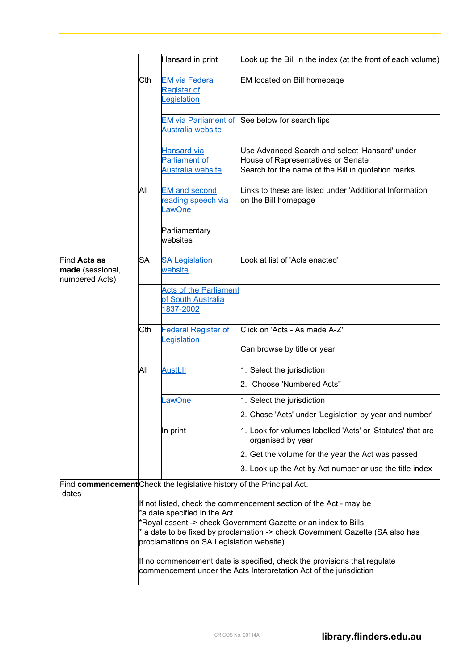<span id="page-3-1"></span><span id="page-3-0"></span>

|                                                    |                                                                                                                                                                                                                                                                                                                                                                              | Hansard in print                                                      | Look up the Bill in the index (at the front of each volume)                                                                                |
|----------------------------------------------------|------------------------------------------------------------------------------------------------------------------------------------------------------------------------------------------------------------------------------------------------------------------------------------------------------------------------------------------------------------------------------|-----------------------------------------------------------------------|--------------------------------------------------------------------------------------------------------------------------------------------|
|                                                    | Cth                                                                                                                                                                                                                                                                                                                                                                          | <b>EM via Federal</b><br><b>Register of</b><br>egislation             | EM located on Bill homepage                                                                                                                |
|                                                    |                                                                                                                                                                                                                                                                                                                                                                              | <b>EM via Parliament of</b><br>Australia website                      | See below for search tips                                                                                                                  |
|                                                    |                                                                                                                                                                                                                                                                                                                                                                              | <b>Hansard via</b><br><b>Parliament of</b><br>Australia website       | Use Advanced Search and select 'Hansard' under<br>House of Representatives or Senate<br>Search for the name of the Bill in quotation marks |
|                                                    | All                                                                                                                                                                                                                                                                                                                                                                          | <b>EM and second</b><br>eading speech via<br>.awOne                   | Links to these are listed under 'Additional Information'<br>on the Bill homepage                                                           |
|                                                    |                                                                                                                                                                                                                                                                                                                                                                              | Parliamentary<br>websites                                             |                                                                                                                                            |
| Find Acts as<br>made (sessional,<br>numbered Acts) | SA                                                                                                                                                                                                                                                                                                                                                                           | <b>SA Legislation</b><br>website                                      | Look at list of 'Acts enacted'                                                                                                             |
|                                                    |                                                                                                                                                                                                                                                                                                                                                                              | <b>Acts of the Parliament</b><br>of South Australia<br>1837-2002      |                                                                                                                                            |
|                                                    | Cth                                                                                                                                                                                                                                                                                                                                                                          | <b>Federal Register of</b><br>egislation                              | lClick on 'Acts - As made A-Z'<br>Can browse by title or year                                                                              |
|                                                    | All                                                                                                                                                                                                                                                                                                                                                                          | <b>AustLII</b>                                                        | 1. Select the jurisdiction                                                                                                                 |
|                                                    |                                                                                                                                                                                                                                                                                                                                                                              |                                                                       | 2. Choose 'Numbered Acts"                                                                                                                  |
|                                                    |                                                                                                                                                                                                                                                                                                                                                                              | _awOne                                                                | 1. Select the jurisdiction                                                                                                                 |
|                                                    |                                                                                                                                                                                                                                                                                                                                                                              |                                                                       | 2. Chose 'Acts' under 'Legislation by year and number'                                                                                     |
|                                                    |                                                                                                                                                                                                                                                                                                                                                                              | In print                                                              | 1. Look for volumes labelled 'Acts' or 'Statutes' that are<br>organised by year                                                            |
|                                                    |                                                                                                                                                                                                                                                                                                                                                                              |                                                                       | 2. Get the volume for the year the Act was passed                                                                                          |
|                                                    |                                                                                                                                                                                                                                                                                                                                                                              |                                                                       | 3. Look up the Act by Act number or use the title index                                                                                    |
| dates                                              |                                                                                                                                                                                                                                                                                                                                                                              | Find commencement Check the legislative history of the Principal Act. |                                                                                                                                            |
|                                                    | If not listed, check the commencement section of the Act - may be<br>*a date specified in the Act<br>*Royal assent -> check Government Gazette or an index to Bills<br>* a date to be fixed by proclamation -> check Government Gazette (SA also has<br>proclamations on SA Legislation website)<br>If no commencement date is specified, check the provisions that regulate |                                                                       |                                                                                                                                            |
|                                                    |                                                                                                                                                                                                                                                                                                                                                                              |                                                                       | commencement under the Acts Interpretation Act of the jurisdiction                                                                         |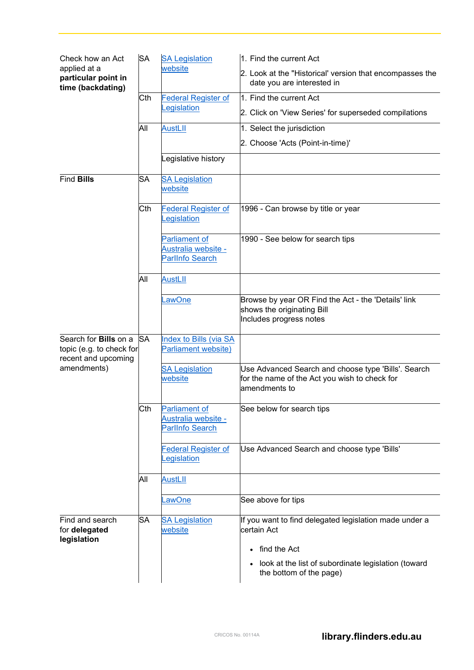<span id="page-4-3"></span><span id="page-4-2"></span><span id="page-4-1"></span><span id="page-4-0"></span>

| Check how an Act<br>applied at a<br>particular point in<br>time (backdating)                   | <b>SA</b> | <b>SA Legislation</b><br>website                                      | 1. Find the current Act                                                                                               |
|------------------------------------------------------------------------------------------------|-----------|-----------------------------------------------------------------------|-----------------------------------------------------------------------------------------------------------------------|
|                                                                                                |           |                                                                       | 2. Look at the "Historical' version that encompasses the<br>date you are interested in                                |
|                                                                                                | Cth       | <b>Federal Register of</b>                                            | 1. Find the current Act                                                                                               |
|                                                                                                |           | egislation                                                            | 2. Click on 'View Series' for superseded compilations                                                                 |
|                                                                                                | All       | <b>AustLII</b>                                                        | 1. Select the jurisdiction                                                                                            |
|                                                                                                |           |                                                                       | 2. Choose 'Acts (Point-in-time)'                                                                                      |
|                                                                                                |           | Legislative history                                                   |                                                                                                                       |
| <b>Find Bills</b>                                                                              | SA        | <b>SA Legislation</b><br>website                                      |                                                                                                                       |
|                                                                                                | Cth       | <b>Federal Register of</b><br>egislation                              | 1996 - Can browse by title or year                                                                                    |
|                                                                                                |           | <b>Parliament of</b><br>Australia website -<br><b>ParlInfo Search</b> | 1990 - See below for search tips                                                                                      |
|                                                                                                | All       | <b>AustLII</b>                                                        |                                                                                                                       |
|                                                                                                |           | _awOne                                                                | Browse by year OR Find the Act - the 'Details' link<br>shows the originating Bill<br>Includes progress notes          |
| Search for <b>Bills</b> on a<br>topic (e.g. to check for<br>recent and upcoming<br>amendments) | <b>SA</b> | Index to Bills (via SA<br>Parliament website)                         |                                                                                                                       |
|                                                                                                |           | <b>SA Legislation</b><br>website                                      | Use Advanced Search and choose type 'Bills'. Search<br>for the name of the Act you wish to check for<br>amendments to |
|                                                                                                | Cth       | Parliament of<br>Australia website -<br><b>ParlInfo Search</b>        | See below for search tips                                                                                             |
|                                                                                                |           | <b>Federal Register of</b><br>egislation                              | Use Advanced Search and choose type 'Bills'                                                                           |
|                                                                                                | All       | <b>AustLII</b>                                                        |                                                                                                                       |
|                                                                                                |           | <u>.awOne</u>                                                         | See above for tips                                                                                                    |
| Find and search<br>for delegated<br>legislation                                                | SА        | <b>SA Legislation</b><br>website                                      | If you want to find delegated legislation made under a<br>certain Act                                                 |
|                                                                                                |           |                                                                       | find the Act<br>$\bullet$                                                                                             |
|                                                                                                |           |                                                                       | look at the list of subordinate legislation (toward<br>$\bullet$<br>the bottom of the page)                           |